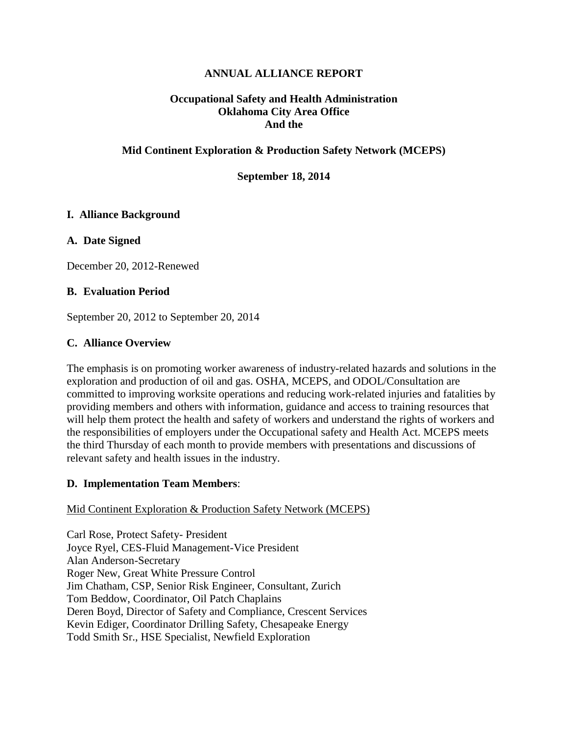# **ANNUAL ALLIANCE REPORT**

## **Occupational Safety and Health Administration Oklahoma City Area Office And the**

## **Mid Continent Exploration & Production Safety Network (MCEPS)**

#### **September 18, 2014**

## **I. Alliance Background**

## **A. Date Signed**

December 20, 2012-Renewed

## **B. Evaluation Period**

September 20, 2012 to September 20, 2014

## **C. Alliance Overview**

The emphasis is on promoting worker awareness of industry-related hazards and solutions in the exploration and production of oil and gas. OSHA, MCEPS, and ODOL/Consultation are committed to improving worksite operations and reducing work-related injuries and fatalities by providing members and others with information, guidance and access to training resources that will help them protect the health and safety of workers and understand the rights of workers and the responsibilities of employers under the Occupational safety and Health Act. MCEPS meets the third Thursday of each month to provide members with presentations and discussions of relevant safety and health issues in the industry.

#### **D. Implementation Team Members**:

#### Mid Continent Exploration & Production Safety Network (MCEPS)

Carl Rose, Protect Safety- President Joyce Ryel, CES-Fluid Management-Vice President Alan Anderson-Secretary Roger New, Great White Pressure Control Jim Chatham, CSP, Senior Risk Engineer, Consultant, Zurich Tom Beddow, Coordinator, Oil Patch Chaplains Deren Boyd, Director of Safety and Compliance, Crescent Services Kevin Ediger, Coordinator Drilling Safety, Chesapeake Energy Todd Smith Sr., HSE Specialist, Newfield Exploration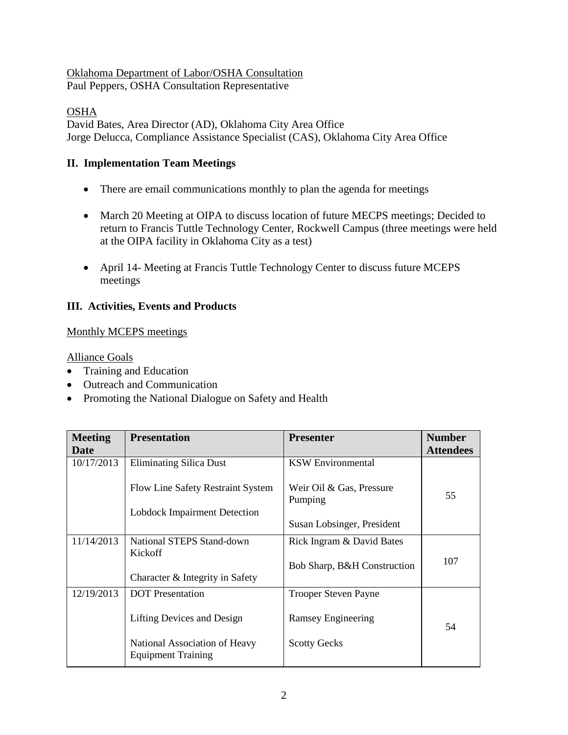# Oklahoma Department of Labor/OSHA Consultation

Paul Peppers, OSHA Consultation Representative

OSHA

David Bates, Area Director (AD), Oklahoma City Area Office Jorge Delucca, Compliance Assistance Specialist (CAS), Oklahoma City Area Office

# **II. Implementation Team Meetings**

- There are email communications monthly to plan the agenda for meetings
- March 20 Meeting at OIPA to discuss location of future MECPS meetings; Decided to return to Francis Tuttle Technology Center, Rockwell Campus (three meetings were held at the OIPA facility in Oklahoma City as a test)
- April 14- Meeting at Francis Tuttle Technology Center to discuss future MCEPS meetings

# **III. Activities, Events and Products**

# Monthly MCEPS meetings

Alliance Goals

- Training and Education
- Outreach and Communication
- Promoting the National Dialogue on Safety and Health

| <b>Meeting</b> | <b>Presentation</b>                                        | <b>Presenter</b>                    | <b>Number</b>    |
|----------------|------------------------------------------------------------|-------------------------------------|------------------|
| Date           |                                                            |                                     | <b>Attendees</b> |
| 10/17/2013     | <b>Eliminating Silica Dust</b>                             | <b>KSW</b> Environmental            |                  |
|                | <b>Flow Line Safety Restraint System</b>                   | Weir Oil & Gas, Pressure<br>Pumping | 55               |
|                | <b>Lobdock Impairment Detection</b>                        |                                     |                  |
|                |                                                            | Susan Lobsinger, President          |                  |
| 11/14/2013     | National STEPS Stand-down                                  | Rick Ingram & David Bates           |                  |
|                | Kickoff                                                    |                                     | 107              |
|                |                                                            | Bob Sharp, B&H Construction         |                  |
|                | Character & Integrity in Safety                            |                                     |                  |
| 12/19/2013     | <b>DOT</b> Presentation                                    | <b>Trooper Steven Payne</b>         |                  |
|                | Lifting Devices and Design                                 | Ramsey Engineering                  | 54               |
|                | National Association of Heavy<br><b>Equipment Training</b> | <b>Scotty Gecks</b>                 |                  |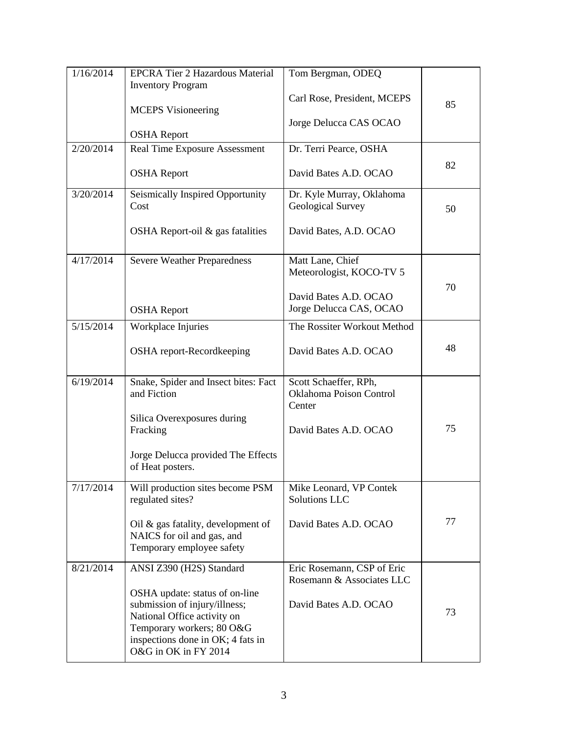| 1/16/2014 | <b>EPCRA Tier 2 Hazardous Material</b>   | Tom Bergman, ODEQ                                       |    |
|-----------|------------------------------------------|---------------------------------------------------------|----|
|           | <b>Inventory Program</b>                 |                                                         |    |
|           |                                          | Carl Rose, President, MCEPS                             | 85 |
|           | <b>MCEPS</b> Visioneering                |                                                         |    |
|           |                                          | Jorge Delucca CAS OCAO                                  |    |
|           | <b>OSHA</b> Report                       |                                                         |    |
| 2/20/2014 | Real Time Exposure Assessment            | Dr. Terri Pearce, OSHA                                  |    |
|           | <b>OSHA</b> Report                       | David Bates A.D. OCAO                                   | 82 |
| 3/20/2014 | Seismically Inspired Opportunity<br>Cost | Dr. Kyle Murray, Oklahoma<br>Geological Survey          | 50 |
|           | OSHA Report-oil $\&$ gas fatalities      | David Bates, A.D. OCAO                                  |    |
| 4/17/2014 | <b>Severe Weather Preparedness</b>       | Matt Lane, Chief                                        |    |
|           |                                          | Meteorologist, KOCO-TV 5                                |    |
|           |                                          |                                                         | 70 |
|           |                                          | David Bates A.D. OCAO                                   |    |
|           | <b>OSHA</b> Report                       | Jorge Delucca CAS, OCAO                                 |    |
| 5/15/2014 | Workplace Injuries                       | The Rossiter Workout Method                             |    |
|           |                                          |                                                         |    |
|           | OSHA report-Recordkeeping                | David Bates A.D. OCAO                                   | 48 |
|           |                                          |                                                         |    |
| 6/19/2014 | Snake, Spider and Insect bites: Fact     | Scott Schaeffer, RPh,                                   |    |
|           | and Fiction                              | Oklahoma Poison Control                                 |    |
|           |                                          | Center                                                  |    |
|           | Silica Overexposures during              | David Bates A.D. OCAO                                   | 75 |
|           | Fracking                                 |                                                         |    |
|           | Jorge Delucca provided The Effects       |                                                         |    |
|           | of Heat posters.                         |                                                         |    |
|           |                                          |                                                         |    |
| 7/17/2014 | Will production sites become PSM         | Mike Leonard, VP Contek                                 |    |
|           | regulated sites?                         | Solutions LLC                                           |    |
|           | Oil & gas fatality, development of       | David Bates A.D. OCAO                                   | 77 |
|           | NAICS for oil and gas, and               |                                                         |    |
|           | Temporary employee safety                |                                                         |    |
|           |                                          |                                                         |    |
| 8/21/2014 | ANSI Z390 (H2S) Standard                 | Eric Rosemann, CSP of Eric<br>Rosemann & Associates LLC |    |
|           | OSHA update: status of on-line           |                                                         |    |
|           | submission of injury/illness;            | David Bates A.D. OCAO                                   |    |
|           | National Office activity on              |                                                         | 73 |
|           | Temporary workers; 80 O&G                |                                                         |    |
|           | inspections done in OK; 4 fats in        |                                                         |    |
|           | O&G in OK in FY 2014                     |                                                         |    |